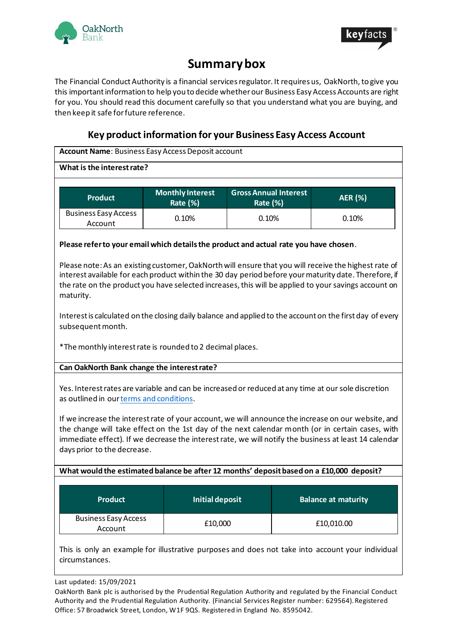



# **Summary box**

The Financial Conduct Authority is a financial services regulator. It requires us, OakNorth, to give you this important information to help you to decide whether our Business Easy Access Accounts are right for you. You should read this document carefully so that you understand what you are buying, and then keep it safe for future reference.

# **Key product information for your Business Easy Access Account**

**Account Name**: Business Easy Access Deposit account

### **What is the interest rate?**

| <b>Product</b>                         | <b>Monthly Interest</b><br>Rate $(\%)$ | <b>Gross Annual Interest</b><br><b>Rate (%)</b> | <b>AER</b> (%) |
|----------------------------------------|----------------------------------------|-------------------------------------------------|----------------|
| <b>Business Easy Access</b><br>Account | 0.10%                                  | 0.10%                                           | 0.10%          |

### **Please refer to your email which details the product and actual rate you have chosen**.

Please note: As an existing customer, OakNorth will ensure that you will receive the highest rate of interest available for each product within the 30 day period before your maturity date. Therefore, if the rate on the product you have selected increases, this will be applied to your savings account on maturity.

Interest is calculated on the closing daily balance and applied to the account on the first day of every subsequent month.

\*The monthly interest rate is rounded to 2 decimal places.

# **Can OakNorth Bank change the interest rate?**

Yes. Interest rates are variable and can be increased or reduced at any time at our sole discretion as outlined in ourterms and [conditions.](http://www.oaknorth.co.uk/terms-and-conditions/)

If we increase the interest rate of your account, we will announce the increase on our website, and the change will take effect on the 1st day of the next calendar month (or in certain cases, with immediate effect). If we decrease the interest rate, we will notify the business at least 14 calendar days prior to the decrease.

# **What would the estimated balance be after 12 months' depositbasedon a £10,000 deposit?**

| <b>Product</b>                         | Initial deposit | <b>Balance at maturity</b> |
|----------------------------------------|-----------------|----------------------------|
| <b>Business Easy Access</b><br>Account | £10,000         | £10,010.00                 |

This is only an example for illustrative purposes and does not take into account your individual circumstances.

Last updated: 15/09/2021

OakNorth Bank plc is authorised by the Prudential Regulation Authority and regulated by the Financial Conduct Authority and the Prudential Regulation Authority. (Financial Services Register number: 629564). Registered Office: 57 Broadwick Street, London, W1F 9QS. Registered in England No. 8595042.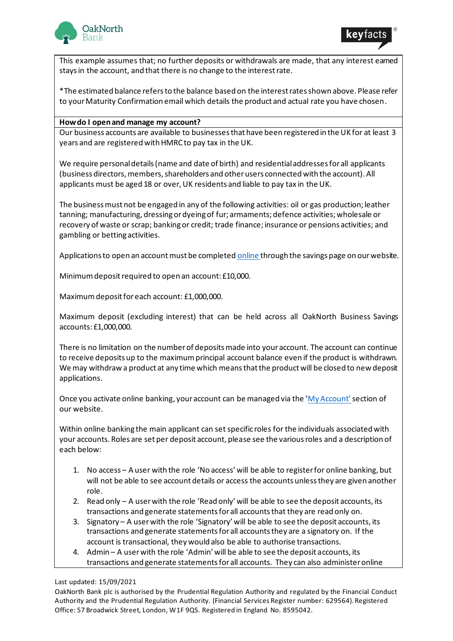



This example assumes that; no further deposits or withdrawals are made, that any interest earned stays in the account, and that there is no change to the interest rate.

\*The estimated balance refers to the balance based on the interest rates shown above. Please refer to your Maturity Confirmation email which details the product and actual rate you have chosen.

#### **How do I open and manage my account?**

Our business accounts are available to businesses that have been registered in the UK for at least 3 years and are registered with HMRC to pay tax in the UK.

We require personal details (name and date of birth) and residential addresses for all applicants (business directors, members, shareholders and other users connected with the account). All applicants must be aged 18 or over, UK residents and liable to pay tax in the UK.

The business must not be engaged in any of the following activities: oil or gas production; leather tanning; manufacturing, dressing or dyeing of fur; armaments; defence activities; wholesale or recovery of waste or scrap; banking or credit; trade finance; insurance or pensions activities; and gambling or betting activities.

Applications to open an account must be complete[d online](https://www.oaknorth.co.uk/savings/business-savings/business-deposit/) through the savings page on our website.

Minimum deposit required to open an account: £10,000.

Maximum deposit for each account: £1,000,000.

Maximum deposit (excluding interest) that can be held across all OakNorth Business Savings accounts: £1,000,000.

There is no limitation on the number of deposits made into your account. The account can continue to receive deposits up to the maximum principal account balance even if the product is withdrawn. We may withdraw a product at any time which means that the product will be closed to new deposit applications.

Once you activate online banking, your account can be managed via the ' $My$  Account' section of our website.

Within online banking the main applicant can set specific roles for the individuals associated with your accounts. Roles are set per deposit account, please see the various roles and a description of each below:

- 1. No access A user with the role 'No access' will be able to register for online banking, but will not be able to see account details or access the accounts unless they are given another role.
- 2. Read only A user with the role 'Read only' will be able to see the deposit accounts, its transactions and generate statements for all accounts that they are read only on.
- 3. Signatory A user with the role 'Signatory' will be able to see the deposit accounts, its transactions and generate statements for all accounts they are a signatory on. If the account is transactional, they would also be able to authorise transactions.
- 4. Admin A user with the role 'Admin' will be able to see the deposit accounts, its transactions and generate statements for all accounts. They can also administer online

#### Last updated: 15/09/2021

OakNorth Bank plc is authorised by the Prudential Regulation Authority and regulated by the Financial Conduct Authority and the Prudential Regulation Authority. (Financial Services Register number: 629564). Registered Office: 57 Broadwick Street, London, W1F 9QS. Registered in England No. 8595042.